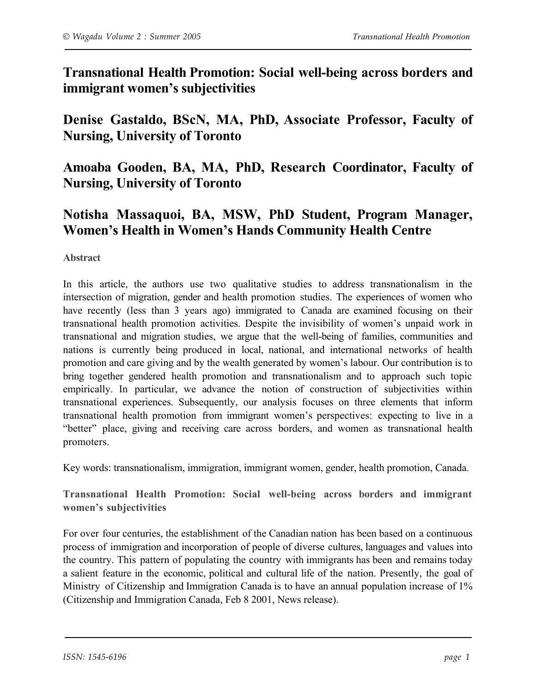**Transnational Health Promotion: Social well-being across borders and immigrant women's subjectivities**

**Denise Gastaldo, BScN, MA, PhD, Associate Professor, Faculty of Nursing, University of Toronto**

**Amoaba Gooden, BA, MA, PhD, Research Coordinator, Faculty of Nursing, University of Toronto**

## **Notisha Massaquoi, BA, MSW, PhD Student, Program Manager, Women's Health in Women's Hands Community Health Centre**

**Abstract**

In this article, the authors use two qualitative studies to address transnationalism in the intersection of migration, gender and health promotion studies. The experiences of women who have recently (less than 3 years ago) immigrated to Canada are examined focusing on their transnational health promotion activities. Despite the invisibility of women's unpaid work in transnational and migration studies, we argue that the well-being of families, communities and nations is currently being produced in local, national, and international networks of health promotion and care giving and by the wealth generated by women's labour. Our contribution is to bring together gendered health promotion and transnationalism and to approach such topic empirically. In particular, we advance the notion of construction of subjectivities within transnational experiences. Subsequently, our analysis focuses on three elements that inform transnational health promotion from immigrant women's perspectives: expecting to live in a "better" place, giving and receiving care across borders, and women as transnational health promoters.

Key words: transnationalism, immigration, immigrant women, gender, health promotion, Canada.

**Transnational Health Promotion: Social well-being across borders and immigrant women's subjectivities**

For over four centuries, the establishment of the Canadian nation has been based on a continuous process of immigration and incorporation of people of diverse cultures, languages and values into the country. This pattern of populating the country with immigrants has been and remains today a salient feature in the economic, political and cultural life of the nation. Presently, the goal of Ministry of Citizenship and Immigration Canada is to have an annual population increase of 1% (Citizenship and Immigration Canada, Feb 8 2001, News release).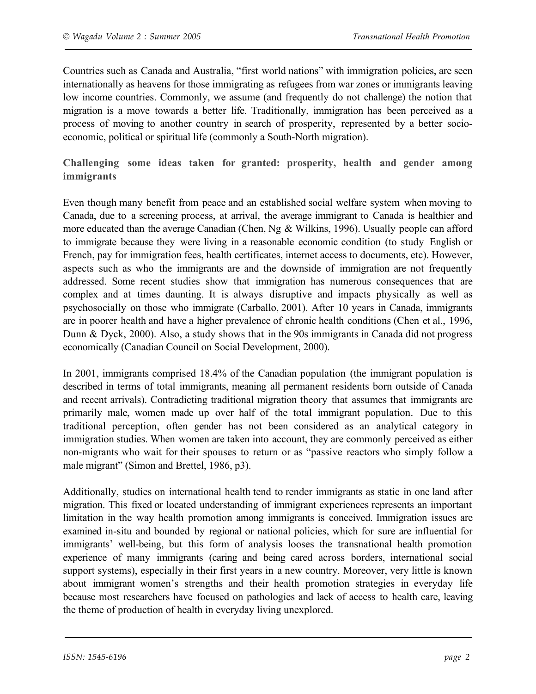Countries such as Canada and Australia, "first world nations" with immigration policies, are seen internationally as heavens for those immigrating as refugees from war zones or immigrants leaving low income countries. Commonly, we assume (and frequently do not challenge) the notion that migration is a move towards a better life. Traditionally, immigration has been perceived as a process of moving to another country in search of prosperity, represented by a better socioeconomic, political or spiritual life (commonly a South-North migration).

**Challenging some ideas taken for granted: prosperity, health and gender among immigrants**

Even though many benefit from peace and an established social welfare system when moving to Canada, due to a screening process, at arrival, the average immigrant to Canada is healthier and more educated than the average Canadian (Chen, Ng & Wilkins, 1996). Usually people can afford to immigrate because they were living in a reasonable economic condition (to study English or French, pay for immigration fees, health certificates, internet access to documents, etc). However, aspects such as who the immigrants are and the downside of immigration are not frequently addressed. Some recent studies show that immigration has numerous consequences that are complex and at times daunting. It is always disruptive and impacts physically as well as psychosocially on those who immigrate (Carballo, 2001). After 10 years in Canada, immigrants are in poorer health and have a higher prevalence of chronic health conditions (Chen et al., 1996, Dunn & Dyck, 2000). Also, a study shows that in the 90s immigrants in Canada did not progress economically (Canadian Council on Social Development, 2000).

In 2001, immigrants comprised 18.4% of the Canadian population (the immigrant population is described in terms of total immigrants, meaning all permanent residents born outside of Canada and recent arrivals). Contradicting traditional migration theory that assumes that immigrants are primarily male, women made up over half of the total immigrant population. Due to this traditional perception, often gender has not been considered as an analytical category in immigration studies. When women are taken into account, they are commonly perceived as either non-migrants who wait for their spouses to return or as "passive reactors who simply follow a male migrant" (Simon and Brettel, 1986, p3).

Additionally, studies on international health tend to render immigrants as static in one land after migration. This fixed or located understanding of immigrant experiences represents an important limitation in the way health promotion among immigrants is conceived. Immigration issues are examined in-situ and bounded by regional or national policies, which for sure are influential for immigrants' well-being, but this form of analysis looses the transnational health promotion experience of many immigrants (caring and being cared across borders, international social support systems), especially in their first years in a new country. Moreover, very little is known about immigrant women's strengths and their health promotion strategies in everyday life because most researchers have focused on pathologies and lack of access to health care, leaving the theme of production of health in everyday living unexplored.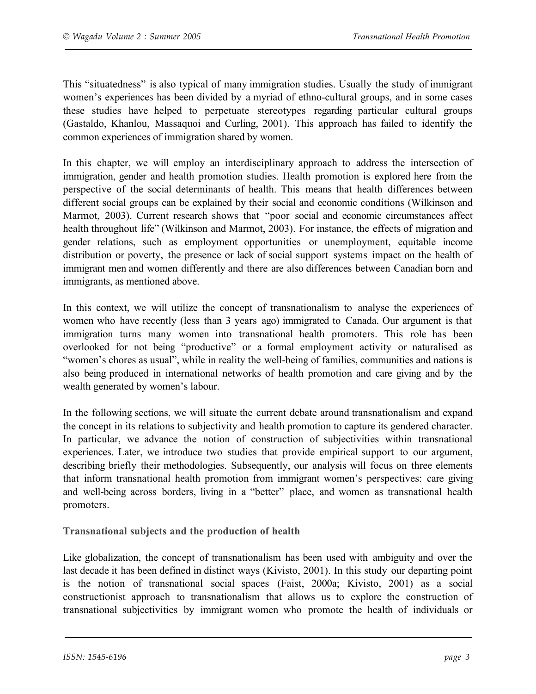This "situatedness" is also typical of many immigration studies. Usually the study of immigrant women's experiences has been divided by a myriad of ethno-cultural groups, and in some cases these studies have helped to perpetuate stereotypes regarding particular cultural groups (Gastaldo, Khanlou, Massaquoi and Curling, 2001). This approach has failed to identify the common experiences of immigration shared by women.

In this chapter, we will employ an interdisciplinary approach to address the intersection of immigration, gender and health promotion studies. Health promotion is explored here from the perspective of the social determinants of health. This means that health differences between different social groups can be explained by their social and economic conditions (Wilkinson and Marmot, 2003). Current research shows that "poor social and economic circumstances affect health throughout life" (Wilkinson and Marmot, 2003). For instance, the effects of migration and gender relations, such as employment opportunities or unemployment, equitable income distribution or poverty, the presence or lack of social support systems impact on the health of immigrant men and women differently and there are also differences between Canadian born and immigrants, as mentioned above.

In this context, we will utilize the concept of transnationalism to analyse the experiences of women who have recently (less than 3 years ago) immigrated to Canada. Our argument is that immigration turns many women into transnational health promoters. This role has been overlooked for not being "productive" or a formal employment activity or naturalised as "women's chores as usual", while in reality the well-being of families, communities and nations is also being produced in international networks of health promotion and care giving and by the wealth generated by women's labour.

In the following sections, we will situate the current debate around transnationalism and expand the concept in its relations to subjectivity and health promotion to capture its gendered character. In particular, we advance the notion of construction of subjectivities within transnational experiences. Later, we introduce two studies that provide empirical support to our argument, describing briefly their methodologies. Subsequently, our analysis will focus on three elements that inform transnational health promotion from immigrant women's perspectives: care giving and well-being across borders, living in a "better" place, and women as transnational health promoters.

**Transnational subjects and the production of health**

Like globalization, the concept of transnationalism has been used with ambiguity and over the last decade it has been defined in distinct ways (Kivisto, 2001). In this study our departing point is the notion of transnational social spaces (Faist, 2000a; Kivisto, 2001) as a social constructionist approach to transnationalism that allows us to explore the construction of transnational subjectivities by immigrant women who promote the health of individuals or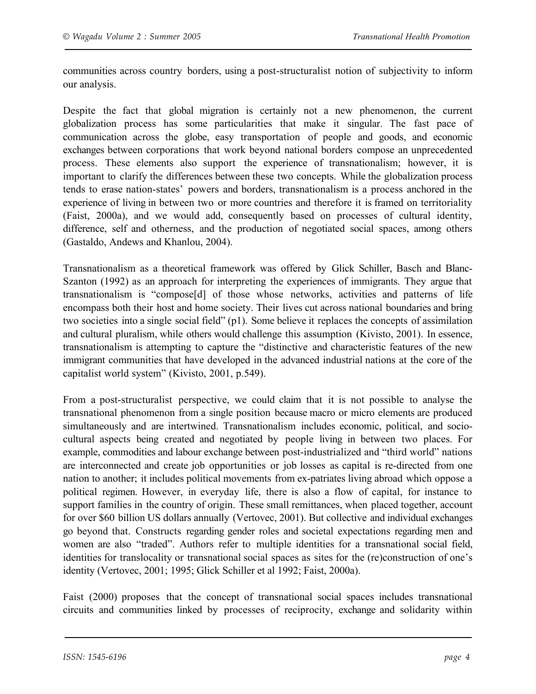communities across country borders, using a post-structuralist notion of subjectivity to inform our analysis.

Despite the fact that global migration is certainly not a new phenomenon, the current globalization process has some particularities that make it singular. The fast pace of communication across the globe, easy transportation of people and goods, and economic exchanges between corporations that work beyond national borders compose an unprecedented process. These elements also support the experience of transnationalism; however, it is important to clarify the differences between these two concepts. While the globalization process tends to erase nation-states' powers and borders, transnationalism is a process anchored in the experience of living in between two or more countries and therefore it is framed on territoriality (Faist, 2000a), and we would add, consequently based on processes of cultural identity, difference, self and otherness, and the production of negotiated social spaces, among others (Gastaldo, Andews and Khanlou, 2004).

Transnationalism as a theoretical framework was offered by Glick Schiller, Basch and Blanc-Szanton (1992) as an approach for interpreting the experiences of immigrants. They argue that transnationalism is "compose[d] of those whose networks, activities and patterns of life encompass both their host and home society. Their lives cut across national boundaries and bring two societies into a single social field" (p1). Some believe it replaces the concepts of assimilation and cultural pluralism, while others would challenge this assumption (Kivisto, 2001). In essence, transnationalism is attempting to capture the "distinctive and characteristic features of the new immigrant communities that have developed in the advanced industrial nations at the core of the capitalist world system" (Kivisto, 2001, p.549).

From a post-structuralist perspective, we could claim that it is not possible to analyse the transnational phenomenon from a single position because macro or micro elements are produced simultaneously and are intertwined. Transnationalism includes economic, political, and sociocultural aspects being created and negotiated by people living in between two places. For example, commodities and labour exchange between post-industrialized and "third world" nations are interconnected and create job opportunities or job losses as capital is re-directed from one nation to another; it includes political movements from ex-patriates living abroad which oppose a political regimen. However, in everyday life, there is also a flow of capital, for instance to support families in the country of origin. These small remittances, when placed together, account for over \$60 billion US dollars annually (Vertovec, 2001). But collective and individual exchanges go beyond that. Constructs regarding gender roles and societal expectations regarding men and women are also "traded". Authors refer to multiple identities for a transnational social field, identities for translocality or transnational social spaces as sites for the (re)construction of one's identity (Vertovec, 2001; 1995; Glick Schiller et al 1992; Faist, 2000a).

Faist (2000) proposes that the concept of transnational social spaces includes transnational circuits and communities linked by processes of reciprocity, exchange and solidarity within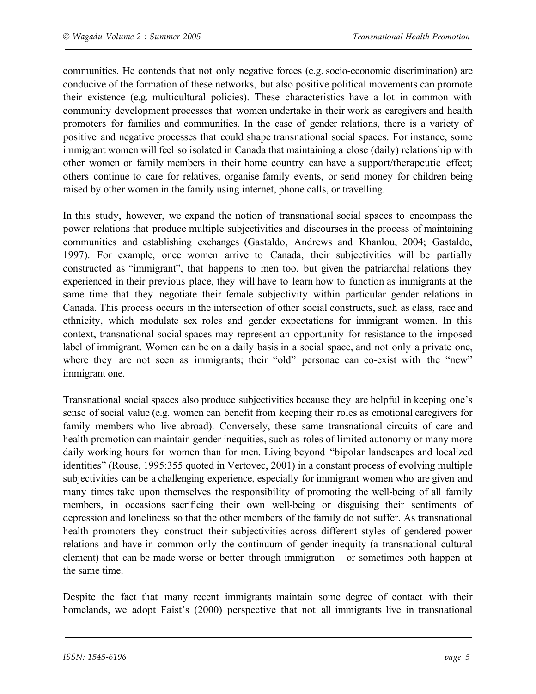communities. He contends that not only negative forces (e.g. socio-economic discrimination) are conducive of the formation of these networks, but also positive political movements can promote their existence (e.g. multicultural policies). These characteristics have a lot in common with community development processes that women undertake in their work as caregivers and health promoters for families and communities. In the case of gender relations, there is a variety of positive and negative processes that could shape transnational social spaces. For instance, some immigrant women will feel so isolated in Canada that maintaining a close (daily) relationship with other women or family members in their home country can have a support/therapeutic effect; others continue to care for relatives, organise family events, or send money for children being raised by other women in the family using internet, phone calls, or travelling.

In this study, however, we expand the notion of transnational social spaces to encompass the power relations that produce multiple subjectivities and discourses in the process of maintaining communities and establishing exchanges (Gastaldo, Andrews and Khanlou, 2004; Gastaldo, 1997). For example, once women arrive to Canada, their subjectivities will be partially constructed as "immigrant", that happens to men too, but given the patriarchal relations they experienced in their previous place, they will have to learn how to function as immigrants at the same time that they negotiate their female subjectivity within particular gender relations in Canada. This process occurs in the intersection of other social constructs, such as class, race and ethnicity, which modulate sex roles and gender expectations for immigrant women. In this context, transnational social spaces may represent an opportunity for resistance to the imposed label of immigrant. Women can be on a daily basis in a social space, and not only a private one, where they are not seen as immigrants; their "old" personae can co-exist with the "new" immigrant one.

Transnational social spaces also produce subjectivities because they are helpful in keeping one's sense of social value (e.g. women can benefit from keeping their roles as emotional caregivers for family members who live abroad). Conversely, these same transnational circuits of care and health promotion can maintain gender inequities, such as roles of limited autonomy or many more daily working hours for women than for men. Living beyond "bipolar landscapes and localized identities" (Rouse, 1995:355 quoted in Vertovec, 2001) in a constant process of evolving multiple subjectivities can be a challenging experience, especially for immigrant women who are given and many times take upon themselves the responsibility of promoting the well-being of all family members, in occasions sacrificing their own well-being or disguising their sentiments of depression and loneliness so that the other members of the family do not suffer. As transnational health promoters they construct their subjectivities across different styles of gendered power relations and have in common only the continuum of gender inequity (a transnational cultural element) that can be made worse or better through immigration – or sometimes both happen at the same time.

Despite the fact that many recent immigrants maintain some degree of contact with their homelands, we adopt Faist's (2000) perspective that not all immigrants live in transnational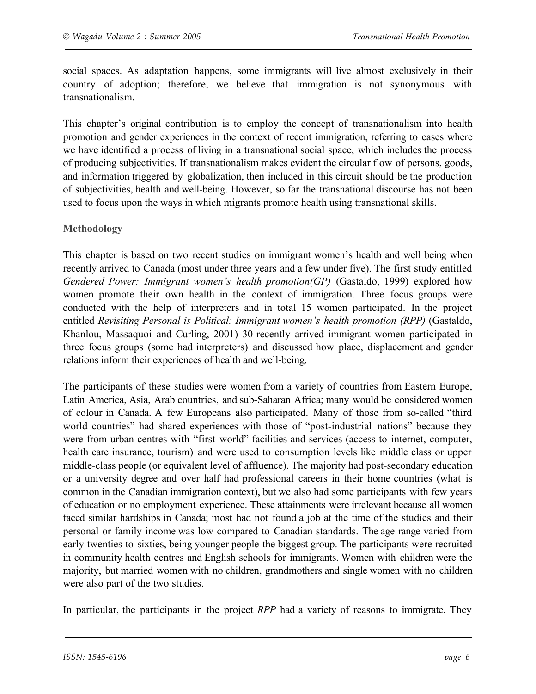social spaces. As adaptation happens, some immigrants will live almost exclusively in their country of adoption; therefore, we believe that immigration is not synonymous with transnationalism.

This chapter's original contribution is to employ the concept of transnationalism into health promotion and gender experiences in the context of recent immigration, referring to cases where we have identified a process of living in a transnational social space, which includes the process of producing subjectivities. If transnationalism makes evident the circular flow of persons, goods, and information triggered by globalization, then included in this circuit should be the production of subjectivities, health and well-being. However, so far the transnational discourse has not been used to focus upon the ways in which migrants promote health using transnational skills.

## **Methodology**

This chapter is based on two recent studies on immigrant women's health and well being when recently arrived to Canada (most under three years and a few under five). The first study entitled *Gendered Power: Immigrant women's health promotion(GP)* (Gastaldo, 1999) explored how women promote their own health in the context of immigration. Three focus groups were conducted with the help of interpreters and in total 15 women participated. In the project entitled *Revisiting Personal is Political: Immigrant women's health promotion (RPP)* (Gastaldo, Khanlou, Massaquoi and Curling, 2001) 30 recently arrived immigrant women participated in three focus groups (some had interpreters) and discussed how place, displacement and gender relations inform their experiences of health and well-being.

The participants of these studies were women from a variety of countries from Eastern Europe, Latin America, Asia, Arab countries, and sub-Saharan Africa; many would be considered women of colour in Canada. A few Europeans also participated. Many of those from so-called "third world countries" had shared experiences with those of "post-industrial nations" because they were from urban centres with "first world" facilities and services (access to internet, computer, health care insurance, tourism) and were used to consumption levels like middle class or upper middle-class people (or equivalent level of affluence). The majority had post-secondary education or a university degree and over half had professional careers in their home countries (what is common in the Canadian immigration context), but we also had some participants with few years of education or no employment experience. These attainments were irrelevant because all women faced similar hardships in Canada; most had not found a job at the time of the studies and their personal or family income was low compared to Canadian standards. The age range varied from early twenties to sixties, being younger people the biggest group. The participants were recruited in community health centres and English schools for immigrants. Women with children were the majority, but married women with no children, grandmothers and single women with no children were also part of the two studies.

In particular, the participants in the project *RPP* had a variety of reasons to immigrate. They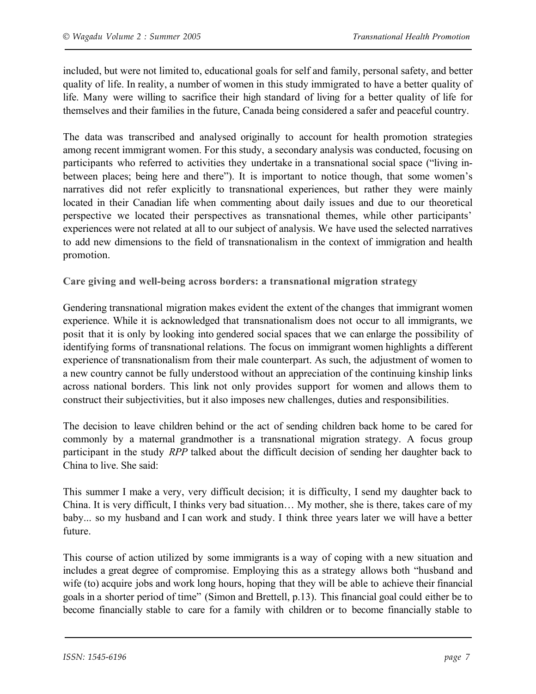included, but were not limited to, educational goals for self and family, personal safety, and better quality of life. In reality, a number of women in this study immigrated to have a better quality of life. Many were willing to sacrifice their high standard of living for a better quality of life for themselves and their families in the future, Canada being considered a safer and peaceful country.

The data was transcribed and analysed originally to account for health promotion strategies among recent immigrant women. For this study, a secondary analysis was conducted, focusing on participants who referred to activities they undertake in a transnational social space ("living inbetween places; being here and there"). It is important to notice though, that some women's narratives did not refer explicitly to transnational experiences, but rather they were mainly located in their Canadian life when commenting about daily issues and due to our theoretical perspective we located their perspectives as transnational themes, while other participants' experiences were not related at all to our subject of analysis. We have used the selected narratives to add new dimensions to the field of transnationalism in the context of immigration and health promotion.

**Care giving and well-being across borders: a transnational migration strategy**

Gendering transnational migration makes evident the extent of the changes that immigrant women experience. While it is acknowledged that transnationalism does not occur to all immigrants, we posit that it is only by looking into gendered social spaces that we can enlarge the possibility of identifying forms of transnational relations. The focus on immigrant women highlights a different experience of transnationalism from their male counterpart. As such, the adjustment of women to a new country cannot be fully understood without an appreciation of the continuing kinship links across national borders. This link not only provides support for women and allows them to construct their subjectivities, but it also imposes new challenges, duties and responsibilities.

The decision to leave children behind or the act of sending children back home to be cared for commonly by a maternal grandmother is a transnational migration strategy. A focus group participant in the study *RPP* talked about the difficult decision of sending her daughter back to China to live. She said:

This summer I make a very, very difficult decision; it is difficulty, I send my daughter back to China. It is very difficult, I thinks very bad situation… My mother, she is there, takes care of my baby... so my husband and I can work and study. I think three years later we will have a better future.

This course of action utilized by some immigrants is a way of coping with a new situation and includes a great degree of compromise. Employing this as a strategy allows both "husband and wife (to) acquire jobs and work long hours, hoping that they will be able to achieve their financial goals in a shorter period of time" (Simon and Brettell, p.13). This financial goal could either be to become financially stable to care for a family with children or to become financially stable to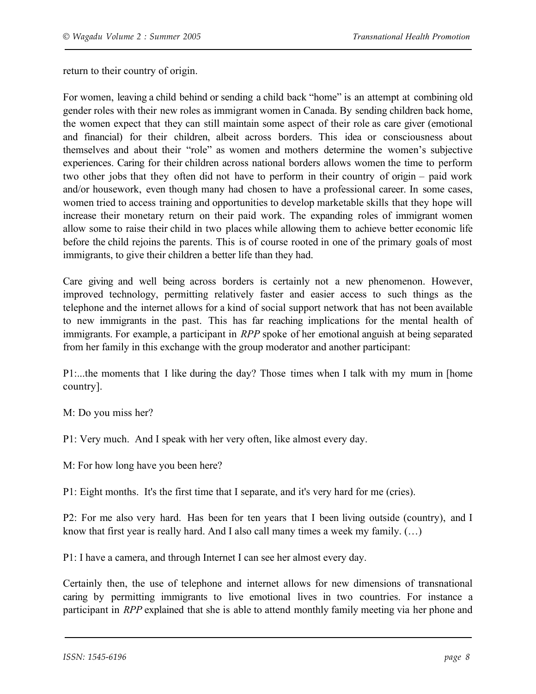return to their country of origin.

For women, leaving a child behind or sending a child back "home" is an attempt at combining old gender roles with their new roles as immigrant women in Canada. By sending children back home, the women expect that they can still maintain some aspect of their role as care giver (emotional and financial) for their children, albeit across borders. This idea or consciousness about themselves and about their "role" as women and mothers determine the women's subjective experiences. Caring for their children across national borders allows women the time to perform two other jobs that they often did not have to perform in their country of origin – paid work and/or housework, even though many had chosen to have a professional career. In some cases, women tried to access training and opportunities to develop marketable skills that they hope will increase their monetary return on their paid work. The expanding roles of immigrant women allow some to raise their child in two places while allowing them to achieve better economic life before the child rejoins the parents. This is of course rooted in one of the primary goals of most immigrants, to give their children a better life than they had.

Care giving and well being across borders is certainly not a new phenomenon. However, improved technology, permitting relatively faster and easier access to such things as the telephone and the internet allows for a kind of social support network that has not been available to new immigrants in the past. This has far reaching implications for the mental health of immigrants. For example, a participant in *RPP* spoke of her emotional anguish at being separated from her family in this exchange with the group moderator and another participant:

P1:...the moments that I like during the day? Those times when I talk with my mum in [home country].

M: Do you miss her?

P1: Very much. And I speak with her very often, like almost every day.

M: For how long have you been here?

P1: Eight months. It's the first time that I separate, and it's very hard for me (cries).

P2: For me also very hard. Has been for ten years that I been living outside (country), and I know that first year is really hard. And I also call many times a week my family. (…)

P1: I have a camera, and through Internet I can see her almost every day.

Certainly then, the use of telephone and internet allows for new dimensions of transnational caring by permitting immigrants to live emotional lives in two countries. For instance a participant in *RPP* explained that she is able to attend monthly family meeting via her phone and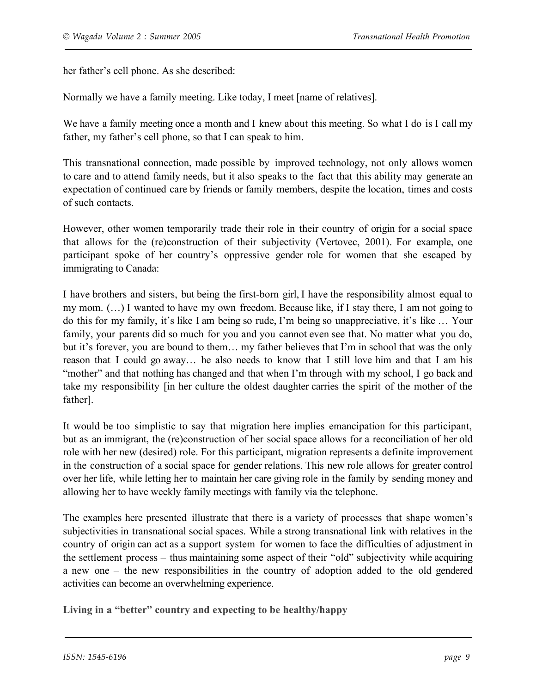her father's cell phone. As she described:

Normally we have a family meeting. Like today, I meet [name of relatives].

We have a family meeting once a month and I knew about this meeting. So what I do is I call my father, my father's cell phone, so that I can speak to him.

This transnational connection, made possible by improved technology, not only allows women to care and to attend family needs, but it also speaks to the fact that this ability may generate an expectation of continued care by friends or family members, despite the location, times and costs of such contacts.

However, other women temporarily trade their role in their country of origin for a social space that allows for the (re)construction of their subjectivity (Vertovec, 2001). For example, one participant spoke of her country's oppressive gender role for women that she escaped by immigrating to Canada:

I have brothers and sisters, but being the first-born girl, I have the responsibility almost equal to my mom. (…) I wanted to have my own freedom. Because like, if I stay there, I am not going to do this for my family, it's like I am being so rude, I'm being so unappreciative, it's like … Your family, your parents did so much for you and you cannot even see that. No matter what you do, but it's forever, you are bound to them… my father believes that I'm in school that was the only reason that I could go away… he also needs to know that I still love him and that I am his "mother" and that nothing has changed and that when I'm through with my school, I go back and take my responsibility [in her culture the oldest daughter carries the spirit of the mother of the father].

It would be too simplistic to say that migration here implies emancipation for this participant, but as an immigrant, the (re)construction of her social space allows for a reconciliation of her old role with her new (desired) role. For this participant, migration represents a definite improvement in the construction of a social space for gender relations. This new role allows for greater control over her life, while letting her to maintain her care giving role in the family by sending money and allowing her to have weekly family meetings with family via the telephone.

The examples here presented illustrate that there is a variety of processes that shape women's subjectivities in transnational social spaces. While a strong transnational link with relatives in the country of origin can act as a support system for women to face the difficulties of adjustment in the settlement process – thus maintaining some aspect of their "old" subjectivity while acquiring a new one – the new responsibilities in the country of adoption added to the old gendered activities can become an overwhelming experience.

**Living in a "better" country and expecting to be healthy/happy**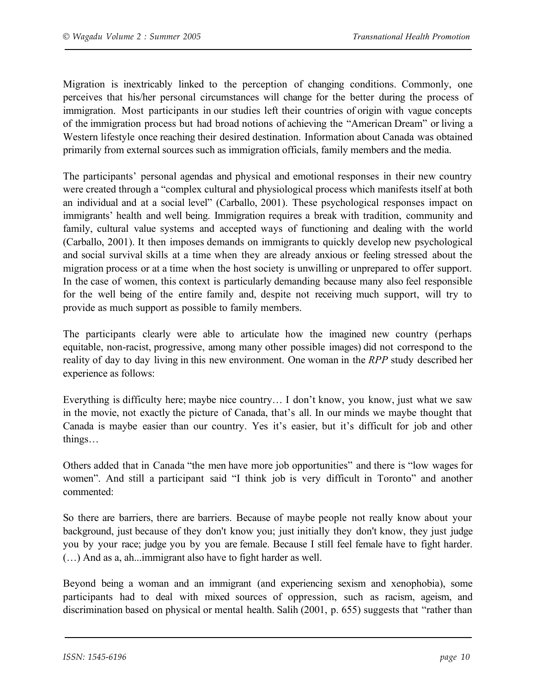Migration is inextricably linked to the perception of changing conditions. Commonly, one perceives that his/her personal circumstances will change for the better during the process of immigration. Most participants in our studies left their countries of origin with vague concepts of the immigration process but had broad notions of achieving the "American Dream" or living a Western lifestyle once reaching their desired destination. Information about Canada was obtained primarily from external sources such as immigration officials, family members and the media.

The participants' personal agendas and physical and emotional responses in their new country were created through a "complex cultural and physiological process which manifests itself at both an individual and at a social level" (Carballo, 2001). These psychological responses impact on immigrants' health and well being. Immigration requires a break with tradition, community and family, cultural value systems and accepted ways of functioning and dealing with the world (Carballo, 2001). It then imposes demands on immigrants to quickly develop new psychological and social survival skills at a time when they are already anxious or feeling stressed about the migration process or at a time when the host society is unwilling or unprepared to offer support. In the case of women, this context is particularly demanding because many also feel responsible for the well being of the entire family and, despite not receiving much support, will try to provide as much support as possible to family members.

The participants clearly were able to articulate how the imagined new country (perhaps equitable, non-racist, progressive, among many other possible images) did not correspond to the reality of day to day living in this new environment. One woman in the *RPP* study described her experience as follows:

Everything is difficulty here; maybe nice country… I don't know, you know, just what we saw in the movie, not exactly the picture of Canada, that's all. In our minds we maybe thought that Canada is maybe easier than our country. Yes it's easier, but it's difficult for job and other things…

Others added that in Canada "the men have more job opportunities" and there is "low wages for women". And still a participant said "I think job is very difficult in Toronto" and another commented:

So there are barriers, there are barriers. Because of maybe people not really know about your background, just because of they don't know you; just initially they don't know, they just judge you by your race; judge you by you are female. Because I still feel female have to fight harder. (…) And as a, ah...immigrant also have to fight harder as well.

Beyond being a woman and an immigrant (and experiencing sexism and xenophobia), some participants had to deal with mixed sources of oppression, such as racism, ageism, and discrimination based on physical or mental health. Salih (2001, p. 655) suggests that "rather than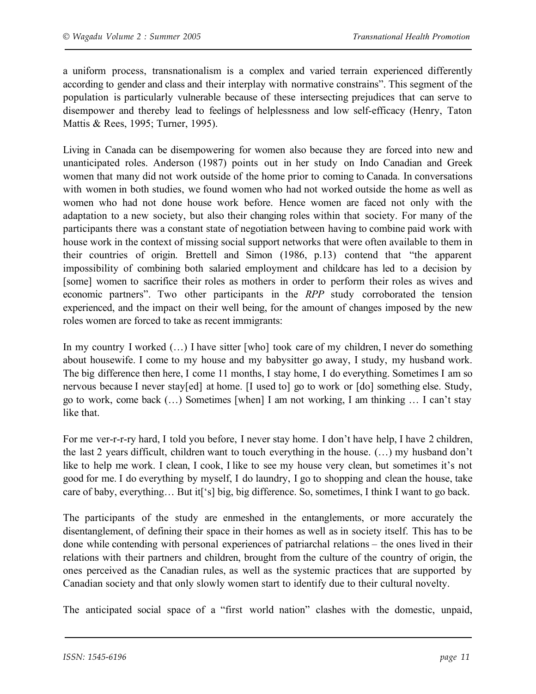a uniform process, transnationalism is a complex and varied terrain experienced differently according to gender and class and their interplay with normative constrains". This segment of the population is particularly vulnerable because of these intersecting prejudices that can serve to disempower and thereby lead to feelings of helplessness and low self-efficacy (Henry, Taton Mattis & Rees, 1995; Turner, 1995).

Living in Canada can be disempowering for women also because they are forced into new and unanticipated roles. Anderson (1987) points out in her study on Indo Canadian and Greek women that many did not work outside of the home prior to coming to Canada. In conversations with women in both studies, we found women who had not worked outside the home as well as women who had not done house work before. Hence women are faced not only with the adaptation to a new society, but also their changing roles within that society. For many of the participants there was a constant state of negotiation between having to combine paid work with house work in the context of missing social support networks that were often available to them in their countries of origin. Brettell and Simon (1986, p.13) contend that "the apparent impossibility of combining both salaried employment and childcare has led to a decision by [some] women to sacrifice their roles as mothers in order to perform their roles as wives and economic partners". Two other participants in the *RPP* study corroborated the tension experienced, and the impact on their well being, for the amount of changes imposed by the new roles women are forced to take as recent immigrants:

In my country I worked (...) I have sitter [who] took care of my children, I never do something about housewife. I come to my house and my babysitter go away, I study, my husband work. The big difference then here, I come 11 months, I stay home, I do everything. Sometimes I am so nervous because I never stay[ed] at home. [I used to] go to work or [do] something else. Study, go to work, come back (…) Sometimes [when] I am not working, I am thinking … I can't stay like that.

For me ver-r-r-ry hard, I told you before, I never stay home. I don't have help, I have 2 children, the last 2 years difficult, children want to touch everything in the house. (…) my husband don't like to help me work. I clean, I cook, I like to see my house very clean, but sometimes it's not good for me. I do everything by myself, I do laundry, I go to shopping and clean the house, take care of baby, everything… But it['s] big, big difference. So, sometimes, I think I want to go back.

The participants of the study are enmeshed in the entanglements, or more accurately the disentanglement, of defining their space in their homes as well as in society itself. This has to be done while contending with personal experiences of patriarchal relations – the ones lived in their relations with their partners and children, brought from the culture of the country of origin, the ones perceived as the Canadian rules, as well as the systemic practices that are supported by Canadian society and that only slowly women start to identify due to their cultural novelty.

The anticipated social space of a "first world nation" clashes with the domestic, unpaid,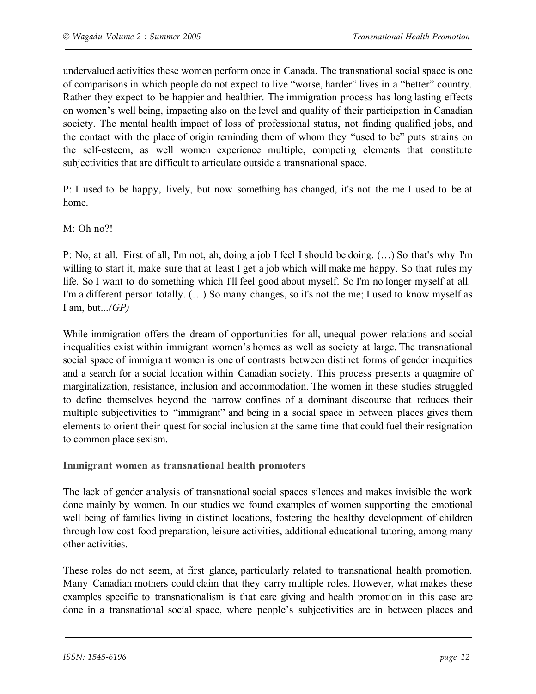undervalued activities these women perform once in Canada. The transnational social space is one of comparisons in which people do not expect to live "worse, harder" lives in a "better" country. Rather they expect to be happier and healthier. The immigration process has long lasting effects on women's well being, impacting also on the level and quality of their participation in Canadian society. The mental health impact of loss of professional status, not finding qualified jobs, and the contact with the place of origin reminding them of whom they "used to be" puts strains on the self-esteem, as well women experience multiple, competing elements that constitute subjectivities that are difficult to articulate outside a transnational space.

P: I used to be happy, lively, but now something has changed, it's not the me I used to be at home.

M: Oh no?!

P: No, at all. First of all, I'm not, ah, doing a job I feel I should be doing. (…) So that's why I'm willing to start it, make sure that at least I get a job which will make me happy. So that rules my life. So I want to do something which I'll feel good about myself. So I'm no longer myself at all. I'm a different person totally. (…) So many changes, so it's not the me; I used to know myself as I am, but...*(GP)*

While immigration offers the dream of opportunities for all, unequal power relations and social inequalities exist within immigrant women's homes as well as society at large. The transnational social space of immigrant women is one of contrasts between distinct forms of gender inequities and a search for a social location within Canadian society. This process presents a quagmire of marginalization, resistance, inclusion and accommodation. The women in these studies struggled to define themselves beyond the narrow confines of a dominant discourse that reduces their multiple subjectivities to "immigrant" and being in a social space in between places gives them elements to orient their quest for social inclusion at the same time that could fuel their resignation to common place sexism.

**Immigrant women as transnational health promoters**

The lack of gender analysis of transnational social spaces silences and makes invisible the work done mainly by women. In our studies we found examples of women supporting the emotional well being of families living in distinct locations, fostering the healthy development of children through low cost food preparation, leisure activities, additional educational tutoring, among many other activities.

These roles do not seem, at first glance, particularly related to transnational health promotion. Many Canadian mothers could claim that they carry multiple roles. However, what makes these examples specific to transnationalism is that care giving and health promotion in this case are done in a transnational social space, where people's subjectivities are in between places and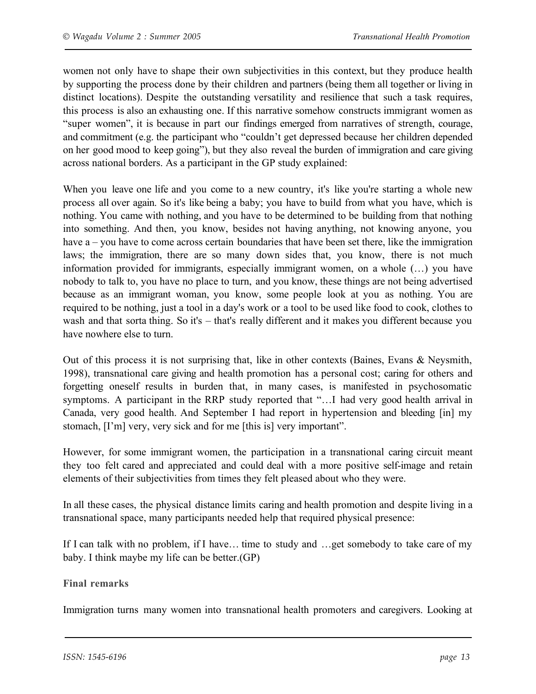women not only have to shape their own subjectivities in this context, but they produce health by supporting the process done by their children and partners (being them all together or living in distinct locations). Despite the outstanding versatility and resilience that such a task requires, this process is also an exhausting one. If this narrative somehow constructs immigrant women as "super women", it is because in part our findings emerged from narratives of strength, courage, and commitment (e.g. the participant who "couldn't get depressed because her children depended on her good mood to keep going"), but they also reveal the burden of immigration and care giving across national borders. As a participant in the GP study explained:

When you leave one life and you come to a new country, it's like you're starting a whole new process all over again. So it's like being a baby; you have to build from what you have, which is nothing. You came with nothing, and you have to be determined to be building from that nothing into something. And then, you know, besides not having anything, not knowing anyone, you have a – you have to come across certain boundaries that have been set there, like the immigration laws; the immigration, there are so many down sides that, you know, there is not much information provided for immigrants, especially immigrant women, on a whole (…) you have nobody to talk to, you have no place to turn, and you know, these things are not being advertised because as an immigrant woman, you know, some people look at you as nothing. You are required to be nothing, just a tool in a day's work or a tool to be used like food to cook, clothes to wash and that sorta thing. So it's – that's really different and it makes you different because you have nowhere else to turn.

Out of this process it is not surprising that, like in other contexts (Baines, Evans & Neysmith, 1998), transnational care giving and health promotion has a personal cost; caring for others and forgetting oneself results in burden that, in many cases, is manifested in psychosomatic symptoms. A participant in the RRP study reported that "…I had very good health arrival in Canada, very good health. And September I had report in hypertension and bleeding [in] my stomach, [I'm] very, very sick and for me [this is] very important".

However, for some immigrant women, the participation in a transnational caring circuit meant they too felt cared and appreciated and could deal with a more positive self-image and retain elements of their subjectivities from times they felt pleased about who they were.

In all these cases, the physical distance limits caring and health promotion and despite living in a transnational space, many participants needed help that required physical presence:

If I can talk with no problem, if I have… time to study and …get somebody to take care of my baby. I think maybe my life can be better.(GP)

## **Final remarks**

Immigration turns many women into transnational health promoters and caregivers. Looking at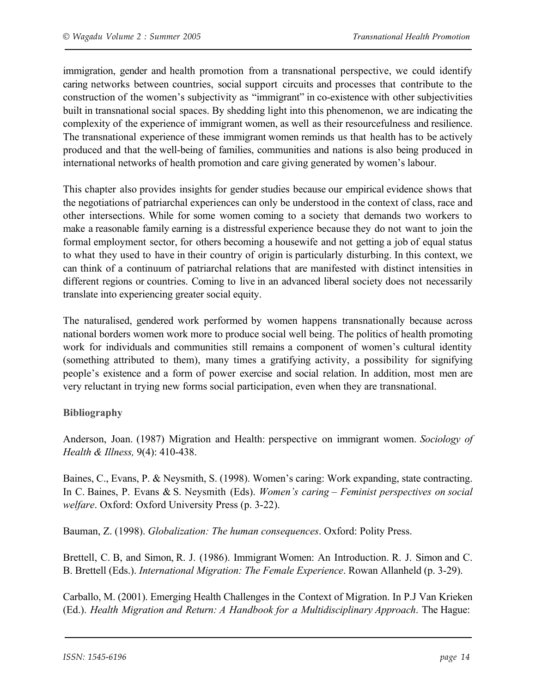immigration, gender and health promotion from a transnational perspective, we could identify caring networks between countries, social support circuits and processes that contribute to the construction of the women's subjectivity as "immigrant" in co-existence with other subjectivities built in transnational social spaces. By shedding light into this phenomenon, we are indicating the complexity of the experience of immigrant women, as well as their resourcefulness and resilience. The transnational experience of these immigrant women reminds us that health has to be actively produced and that the well-being of families, communities and nations is also being produced in international networks of health promotion and care giving generated by women's labour.

This chapter also provides insights for gender studies because our empirical evidence shows that the negotiations of patriarchal experiences can only be understood in the context of class, race and other intersections. While for some women coming to a society that demands two workers to make a reasonable family earning is a distressful experience because they do not want to join the formal employment sector, for others becoming a housewife and not getting a job of equal status to what they used to have in their country of origin is particularly disturbing. In this context, we can think of a continuum of patriarchal relations that are manifested with distinct intensities in different regions or countries. Coming to live in an advanced liberal society does not necessarily translate into experiencing greater social equity.

The naturalised, gendered work performed by women happens transnationally because across national borders women work more to produce social well being. The politics of health promoting work for individuals and communities still remains a component of women's cultural identity (something attributed to them), many times a gratifying activity, a possibility for signifying people's existence and a form of power exercise and social relation. In addition, most men are very reluctant in trying new forms social participation, even when they are transnational.

## **Bibliography**

Anderson, Joan. (1987) Migration and Health: perspective on immigrant women. *Sociology of Health & Illness,* 9(4): 410-438.

Baines, C., Evans, P. & Neysmith, S. (1998). Women's caring: Work expanding, state contracting. In C. Baines, P. Evans & S. Neysmith (Eds). *Women's caring – Feminist perspectives on social welfare*. Oxford: Oxford University Press (p. 3-22).

Bauman, Z. (1998). *Globalization: The human consequences*. Oxford: Polity Press.

Brettell, C. B, and Simon, R. J. (1986). Immigrant Women: An Introduction. R. J. Simon and C. B. Brettell (Eds.). *International Migration: The Female Experience*. Rowan Allanheld (p. 3-29).

Carballo, M. (2001). Emerging Health Challenges in the Context of Migration. In P.J Van Krieken (Ed.). *Health Migration and Return: A Handbook for a Multidisciplinary Approach*. The Hague: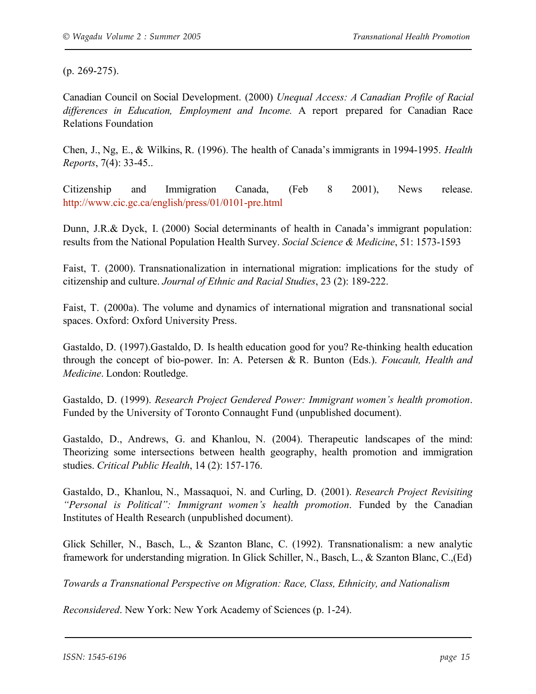(p. 269-275).

Canadian Council on Social Development. (2000) *Unequal Access: A Canadian Profile of Racial differences in Education, Employment and Income.* A report prepared for Canadian Race Relations Foundation

Chen, J., Ng, E., & Wilkins, R. (1996). The health of Canada's immigrants in 1994-1995. *Health Reports*, 7(4): 33-45..

Citizenship and Immigration Canada, (Feb 8 2001), News release. http://www.cic.gc.ca/english/press/01/0101-pre.html

Dunn, J.R.& Dyck, I. (2000) Social determinants of health in Canada's immigrant population: results from the National Population Health Survey. *Social Science & Medicine*, 51: 1573-1593

Faist, T. (2000). Transnationalization in international migration: implications for the study of citizenship and culture. *Journal of Ethnic and Racial Studies*, 23 (2): 189-222.

Faist, T. (2000a). The volume and dynamics of international migration and transnational social spaces. Oxford: Oxford University Press.

Gastaldo, D. (1997).Gastaldo, D. Is health education good for you? Re-thinking health education through the concept of bio-power. In: A. Petersen & R. Bunton (Eds.). *Foucault, Health and Medicine*. London: Routledge.

Gastaldo, D. (1999). *Research Project Gendered Power: Immigrant women's health promotion*. Funded by the University of Toronto Connaught Fund (unpublished document).

Gastaldo, D., Andrews, G. and Khanlou, N. (2004). Therapeutic landscapes of the mind: Theorizing some intersections between health geography, health promotion and immigration studies. *Critical Public Health*, 14 (2): 157-176.

Gastaldo, D., Khanlou, N., Massaquoi, N. and Curling, D. (2001). *Research Project Revisiting "Personal is Political": Immigrant women's health promotion*. Funded by the Canadian Institutes of Health Research (unpublished document).

Glick Schiller, N., Basch, L., & Szanton Blanc, C. (1992). Transnationalism: a new analytic framework for understanding migration. In Glick Schiller, N., Basch, L., & Szanton Blanc, C.,(Ed)

*Towards a Transnational Perspective on Migration: Race, Class, Ethnicity, and Nationalism*

*Reconsidered*. New York: New York Academy of Sciences (p. 1-24).